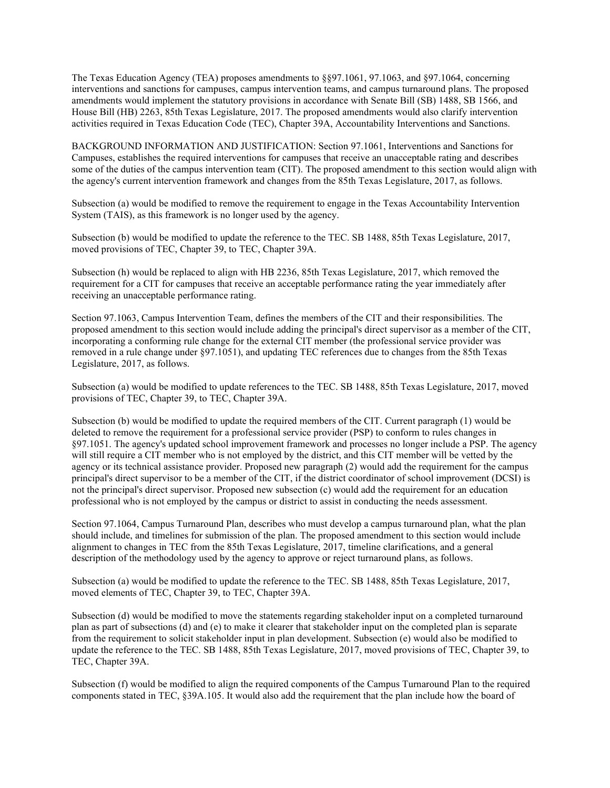The Texas Education Agency (TEA) proposes amendments to §§97.1061, 97.1063, and §97.1064, concerning interventions and sanctions for campuses, campus intervention teams, and campus turnaround plans. The proposed amendments would implement the statutory provisions in accordance with Senate Bill (SB) 1488, SB 1566, and House Bill (HB) 2263, 85th Texas Legislature, 2017. The proposed amendments would also clarify intervention activities required in Texas Education Code (TEC), Chapter 39A, Accountability Interventions and Sanctions.

BACKGROUND INFORMATION AND JUSTIFICATION: Section 97.1061, Interventions and Sanctions for Campuses, establishes the required interventions for campuses that receive an unacceptable rating and describes some of the duties of the campus intervention team (CIT). The proposed amendment to this section would align with the agency's current intervention framework and changes from the 85th Texas Legislature, 2017, as follows.

Subsection (a) would be modified to remove the requirement to engage in the Texas Accountability Intervention System (TAIS), as this framework is no longer used by the agency.

Subsection (b) would be modified to update the reference to the TEC. SB 1488, 85th Texas Legislature, 2017, moved provisions of TEC, Chapter 39, to TEC, Chapter 39A.

Subsection (h) would be replaced to align with HB 2236, 85th Texas Legislature, 2017, which removed the requirement for a CIT for campuses that receive an acceptable performance rating the year immediately after receiving an unacceptable performance rating.

Section 97.1063, Campus Intervention Team, defines the members of the CIT and their responsibilities. The proposed amendment to this section would include adding the principal's direct supervisor as a member of the CIT, incorporating a conforming rule change for the external CIT member (the professional service provider was removed in a rule change under §97.1051), and updating TEC references due to changes from the 85th Texas Legislature, 2017, as follows.

Subsection (a) would be modified to update references to the TEC. SB 1488, 85th Texas Legislature, 2017, moved provisions of TEC, Chapter 39, to TEC, Chapter 39A.

Subsection (b) would be modified to update the required members of the CIT. Current paragraph (1) would be deleted to remove the requirement for a professional service provider (PSP) to conform to rules changes in §97.1051. The agency's updated school improvement framework and processes no longer include a PSP. The agency will still require a CIT member who is not employed by the district, and this CIT member will be vetted by the agency or its technical assistance provider. Proposed new paragraph (2) would add the requirement for the campus principal's direct supervisor to be a member of the CIT, if the district coordinator of school improvement (DCSI) is not the principal's direct supervisor. Proposed new subsection (c) would add the requirement for an education professional who is not employed by the campus or district to assist in conducting the needs assessment.

Section 97.1064, Campus Turnaround Plan, describes who must develop a campus turnaround plan, what the plan should include, and timelines for submission of the plan. The proposed amendment to this section would include alignment to changes in TEC from the 85th Texas Legislature, 2017, timeline clarifications, and a general description of the methodology used by the agency to approve or reject turnaround plans, as follows.

Subsection (a) would be modified to update the reference to the TEC. SB 1488, 85th Texas Legislature, 2017, moved elements of TEC, Chapter 39, to TEC, Chapter 39A.

Subsection (d) would be modified to move the statements regarding stakeholder input on a completed turnaround plan as part of subsections (d) and (e) to make it clearer that stakeholder input on the completed plan is separate from the requirement to solicit stakeholder input in plan development. Subsection (e) would also be modified to update the reference to the TEC. SB 1488, 85th Texas Legislature, 2017, moved provisions of TEC, Chapter 39, to TEC, Chapter 39A.

Subsection (f) would be modified to align the required components of the Campus Turnaround Plan to the required components stated in TEC, §39A.105. It would also add the requirement that the plan include how the board of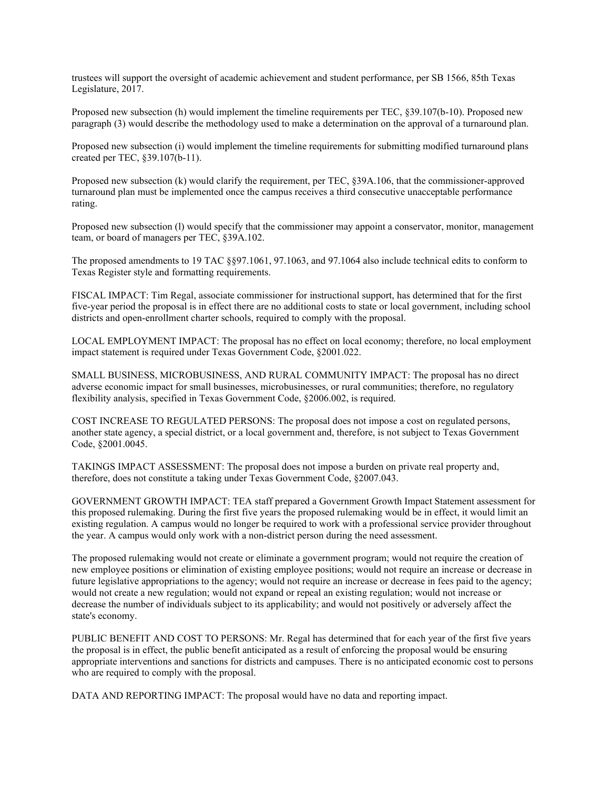trustees will support the oversight of academic achievement and student performance, per SB 1566, 85th Texas Legislature, 2017.

Proposed new subsection (h) would implement the timeline requirements per TEC, §39.107(b-10). Proposed new paragraph (3) would describe the methodology used to make a determination on the approval of a turnaround plan.

Proposed new subsection (i) would implement the timeline requirements for submitting modified turnaround plans created per TEC, §39.107(b-11).

Proposed new subsection (k) would clarify the requirement, per TEC, §39A.106, that the commissioner-approved turnaround plan must be implemented once the campus receives a third consecutive unacceptable performance rating.

Proposed new subsection (I) would specify that the commissioner may appoint a conservator, monitor, management team, or board of managers per TEC, §39A.102.

The proposed amendments to 19 TAC §§97.1061, 97.1063, and 97.1064 also include technical edits to conform to Texas Register style and formatting requirements.

FISCAL IMPACT: Tim Regal, associate commissioner for instructional support, has determined that for the first five-year period the proposal is in effect there are no additional costs to state or local government, including school districts and open-enrollment charter schools, required to comply with the proposal.

LOCAL EMPLOYMENT IMPACT: The proposal has no effect on local economy; therefore, no local employment impact statement is required under Texas Government Code, §2001.022.

SMALL BUSINESS, MICROBUSINESS, AND RURAL COMMUNITY IMPACT: The proposal has no direct adverse economic impact for small businesses, microbusinesses, or rural communities; therefore, no regulatory flexibility analysis, specified in Texas Government Code, §2006.002, is required.

COST INCREASE TO REGULATED PERSONS: The proposal does not impose a cost on regulated persons, another state agency, a special district, or a local government and, therefore, is not subject to Texas Government Code, §2001.0045.

TAKINGS IMPACT ASSESSMENT: The proposal does not impose a burden on private real property and, therefore, does not constitute a taking under Texas Government Code, §2007.043.

GOVERNMENT GROWTH IMPACT: TEA staff prepared a Government Growth Impact Statement assessment for this proposed rulemaking. During the first five years the proposed rulemaking would be in effect, it would limit an existing regulation. A campus would no longer be required to work with a professional service provider throughout the year. A campus would only work with a non-district person during the need assessment.

The proposed rulemaking would not create or eliminate a government program; would not require the creation of new employee positions or elimination of existing employee positions; would not require an increase or decrease in future legislative appropriations to the agency; would not require an increase or decrease in fees paid to the agency; would not create a new regulation; would not expand or repeal an existing regulation; would not increase or decrease the number of individuals subject to its applicability; and would not positively or adversely affect the state's economy.

PUBLIC BENEFIT AND COST TO PERSONS: Mr. Regal has determined that for each year of the first five years the proposal is in effect, the public benefit anticipated as a result of enforcing the proposal would be ensuring appropriate interventions and sanctions for districts and campuses. There is no anticipated economic cost to persons who are required to comply with the proposal.

DATA AND REPORTING IMPACT: The proposal would have no data and reporting impact.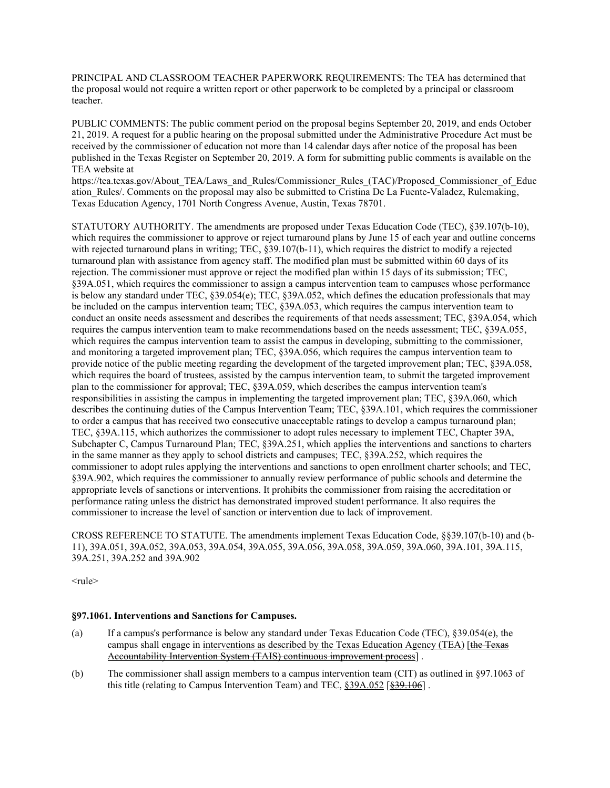PRINCIPAL AND CLASSROOM TEACHER PAPERWORK REQUIREMENTS: The TEA has determined that the proposal would not require a written report or other paperwork to be completed by a principal or classroom teacher.

PUBLIC COMMENTS: The public comment period on the proposal begins September 20, 2019, and ends October 21, 2019. A request for a public hearing on the proposal submitted under the Administrative Procedure Act must be received by the commissioner of education not more than 14 calendar days after notice of the proposal has been published in the Texas Register on September 20, 2019. A form for submitting public comments is available on the TEA website at

https://tea.texas.gov/About\_TEA/Laws\_and\_Rules/Commissioner\_Rules\_(TAC)/Proposed\_Commissioner\_of\_Educ ation\_Rules/. Comments on the proposal may also be submitted to Cristina De La Fuente-Valadez, Rulemaking, Texas Education Agency, 1701 North Congress Avenue, Austin, Texas 78701.

STATUTORY AUTHORITY. The amendments are proposed under Texas Education Code (TEC), §39.107(b-10), which requires the commissioner to approve or reject turnaround plans by June 15 of each year and outline concerns with rejected turnaround plans in writing; TEC,  $\S39.107(b-11)$ , which requires the district to modify a rejected turnaround plan with assistance from agency staff. The modified plan must be submitted within 60 days of its rejection. The commissioner must approve or reject the modified plan within 15 days of its submission; TEC, §39A.051, which requires the commissioner to assign a campus intervention team to campuses whose performance is below any standard under TEC, §39.054(e); TEC, §39A.052, which defines the education professionals that may be included on the campus intervention team; TEC, §39A.053, which requires the campus intervention team to conduct an onsite needs assessment and describes the requirements of that needs assessment; TEC, §39A.054, which requires the campus intervention team to make recommendations based on the needs assessment; TEC, §39A.055, which requires the campus intervention team to assist the campus in developing, submitting to the commissioner, and monitoring a targeted improvement plan; TEC, §39A.056, which requires the campus intervention team to provide notice of the public meeting regarding the development of the targeted improvement plan; TEC, §39A.058, which requires the board of trustees, assisted by the campus intervention team, to submit the targeted improvement plan to the commissioner for approval; TEC, §39A.059, which describes the campus intervention team's responsibilities in assisting the campus in implementing the targeted improvement plan; TEC, §39A.060, which describes the continuing duties of the Campus Intervention Team; TEC, §39A.101, which requires the commissioner to order a campus that has received two consecutive unacceptable ratings to develop a campus turnaround plan; TEC, §39A.115, which authorizes the commissioner to adopt rules necessary to implement TEC, Chapter 39A, Subchapter C, Campus Turnaround Plan; TEC, §39A.251, which applies the interventions and sanctions to charters in the same manner as they apply to school districts and campuses; TEC, §39A.252, which requires the commissioner to adopt rules applying the interventions and sanctions to open enrollment charter schools; and TEC, §39A.902, which requires the commissioner to annually review performance of public schools and determine the appropriate levels of sanctions or interventions. It prohibits the commissioner from raising the accreditation or performance rating unless the district has demonstrated improved student performance. It also requires the commissioner to increase the level of sanction or intervention due to lack of improvement.

CROSS REFERENCE TO STATUTE. The amendments implement Texas Education Code, §§39.107(b-10) and (b-11), 39A.051, 39A.052, 39A.053, 39A.054, 39A.055, 39A.056, 39A.058, 39A.059, 39A.060, 39A.101, 39A.115, 39A.251, 39A.252 and 39A.902

<rule>

## **§97.1061. Interventions and Sanctions for Campuses.**

- (a) If a campus's performance is below any standard under Texas Education Code (TEC), §39.054(e), the campus shall engage in interventions as described by the Texas Education Agency (TEA) [the Texas Accountability Intervention System (TAIS) continuous improvement process] .
- (b) The commissioner shall assign members to a campus intervention team (CIT) as outlined in §97.1063 of this title (relating to Campus Intervention Team) and TEC, §39A.052 [§39.106].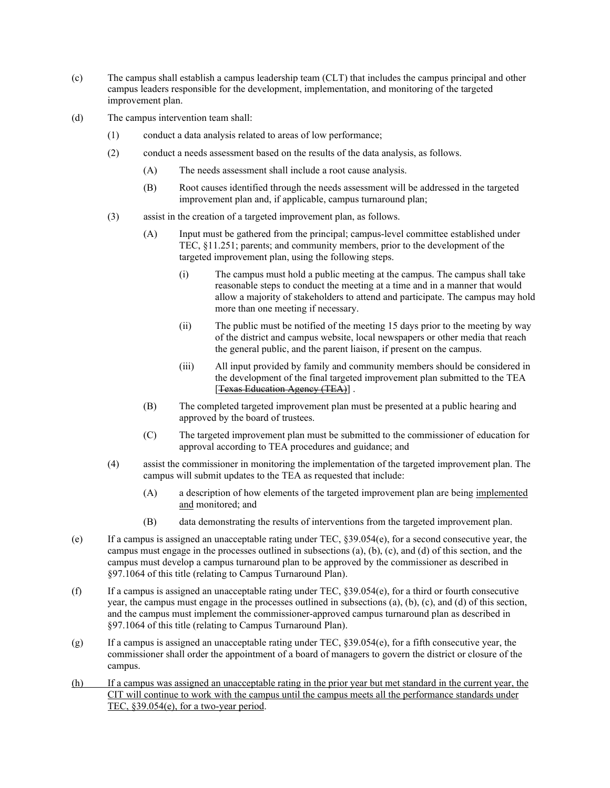- (c) The campus shall establish a campus leadership team (CLT) that includes the campus principal and other campus leaders responsible for the development, implementation, and monitoring of the targeted improvement plan.
- (d) The campus intervention team shall:
	- (1) conduct a data analysis related to areas of low performance;
	- (2) conduct a needs assessment based on the results of the data analysis, as follows.
		- (A) The needs assessment shall include a root cause analysis.
		- (B) Root causes identified through the needs assessment will be addressed in the targeted improvement plan and, if applicable, campus turnaround plan;
	- (3) assist in the creation of a targeted improvement plan, as follows.
		- (A) Input must be gathered from the principal; campus-level committee established under TEC, §11.251; parents; and community members, prior to the development of the targeted improvement plan, using the following steps.
			- (i) The campus must hold a public meeting at the campus. The campus shall take reasonable steps to conduct the meeting at a time and in a manner that would allow a majority of stakeholders to attend and participate. The campus may hold more than one meeting if necessary.
			- (ii) The public must be notified of the meeting 15 days prior to the meeting by way of the district and campus website, local newspapers or other media that reach the general public, and the parent liaison, if present on the campus.
			- (iii) All input provided by family and community members should be considered in the development of the final targeted improvement plan submitted to the TEA [Texas Education Agency (TEA)] .
		- (B) The completed targeted improvement plan must be presented at a public hearing and approved by the board of trustees.
		- (C) The targeted improvement plan must be submitted to the commissioner of education for approval according to TEA procedures and guidance; and
	- (4) assist the commissioner in monitoring the implementation of the targeted improvement plan. The campus will submit updates to the TEA as requested that include:
		- (A) a description of how elements of the targeted improvement plan are being implemented and monitored; and
		- (B) data demonstrating the results of interventions from the targeted improvement plan.
- (e) If a campus is assigned an unacceptable rating under TEC, §39.054(e), for a second consecutive year, the campus must engage in the processes outlined in subsections (a), (b), (c), and (d) of this section, and the campus must develop a campus turnaround plan to be approved by the commissioner as described in §97.1064 of this title (relating to Campus Turnaround Plan).
- (f) If a campus is assigned an unacceptable rating under TEC, §39.054(e), for a third or fourth consecutive year, the campus must engage in the processes outlined in subsections (a), (b), (c), and (d) of this section, and the campus must implement the commissioner-approved campus turnaround plan as described in §97.1064 of this title (relating to Campus Turnaround Plan).
- (g) If a campus is assigned an unacceptable rating under TEC,  $\S 39.054(e)$ , for a fifth consecutive year, the commissioner shall order the appointment of a board of managers to govern the district or closure of the campus.
- (h) If a campus was assigned an unacceptable rating in the prior year but met standard in the current year, the CIT will continue to work with the campus until the campus meets all the performance standards under TEC, §39.054(e), for a two-year period.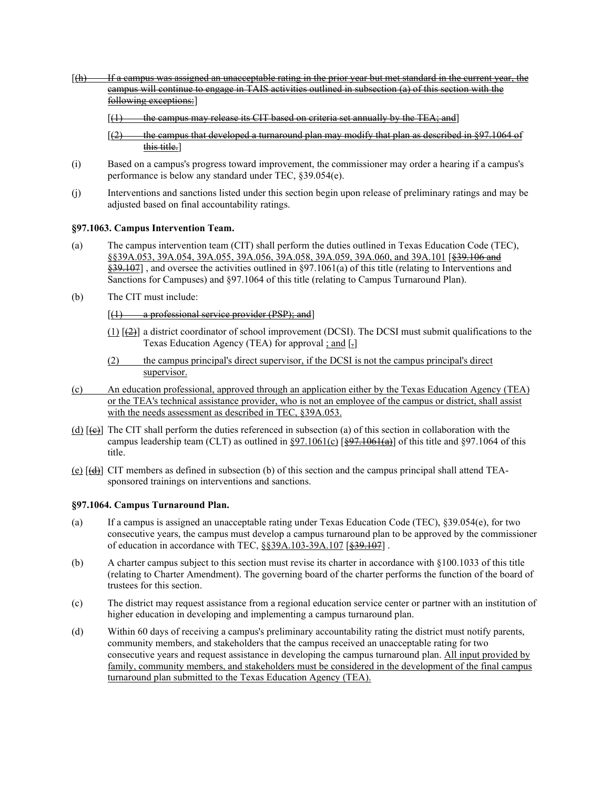- $[4]$  If a campus was assigned an unacceptable rating in the prior year but met standard in the current year, the campus will continue to engage in TAIS activities outlined in subsection (a) of this section with the following exceptions:]
	- $(1)$  the campus may release its CIT based on criteria set annually by the TEA; and]
	- $(2)$  the campus that developed a turnaround plan may modify that plan as described in §97.1064 of this title.]
- (i) Based on a campus's progress toward improvement, the commissioner may order a hearing if a campus's performance is below any standard under TEC, §39.054(e).
- (j) Interventions and sanctions listed under this section begin upon release of preliminary ratings and may be adjusted based on final accountability ratings.

## **§97.1063. Campus Intervention Team.**

- (a) The campus intervention team (CIT) shall perform the duties outlined in Texas Education Code (TEC), §§39A.053, 39A.054, 39A.055, 39A.056, 39A.058, 39A.059, 39A.060, and 39A.101 [§39.106 and  $\frac{239.107}{2}$ , and oversee the activities outlined in §97.1061(a) of this title (relating to Interventions and Sanctions for Campuses) and §97.1064 of this title (relating to Campus Turnaround Plan).
- (b) The CIT must include:

## $[(1)$  a professional service provider (PSP); and

- $(1)$   $(2)$ ] a district coordinator of school improvement (DCSI). The DCSI must submit qualifications to the Texas Education Agency (TEA) for approval  $\frac{1}{2}$  and  $\frac{1}{2}$
- (2) the campus principal's direct supervisor, if the DCSI is not the campus principal's direct supervisor.
- (c) An education professional, approved through an application either by the Texas Education Agency (TEA) or the TEA's technical assistance provider, who is not an employee of the campus or district, shall assist with the needs assessment as described in TEC, §39A.053.
- (d)  $[\triangle]$  The CIT shall perform the duties referenced in subsection (a) of this section in collaboration with the campus leadership team (CLT) as outlined in §97.1061(c)  $\left[\frac{697.1061}{6}\right]$  of this title and §97.1064 of this title.
- (e) [(d)] CIT members as defined in subsection (b) of this section and the campus principal shall attend TEAsponsored trainings on interventions and sanctions.

## **§97.1064. Campus Turnaround Plan.**

- (a) If a campus is assigned an unacceptable rating under Texas Education Code (TEC), §39.054(e), for two consecutive years, the campus must develop a campus turnaround plan to be approved by the commissioner of education in accordance with TEC, §§39A.103-39A.107 [§39.107].
- (b) A charter campus subject to this section must revise its charter in accordance with §100.1033 of this title (relating to Charter Amendment). The governing board of the charter performs the function of the board of trustees for this section.
- (c) The district may request assistance from a regional education service center or partner with an institution of higher education in developing and implementing a campus turnaround plan.
- (d) Within 60 days of receiving a campus's preliminary accountability rating the district must notify parents, community members, and stakeholders that the campus received an unacceptable rating for two consecutive years and request assistance in developing the campus turnaround plan. All input provided by family, community members, and stakeholders must be considered in the development of the final campus turnaround plan submitted to the Texas Education Agency (TEA).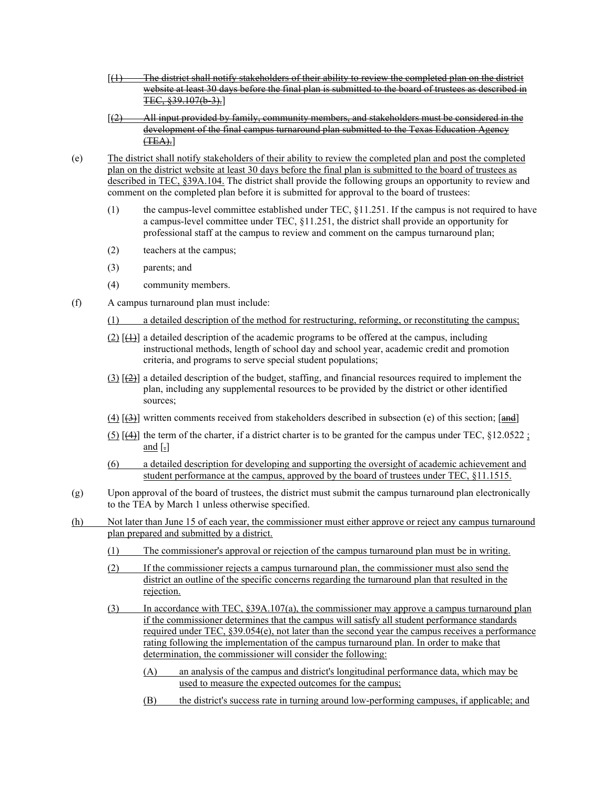- [(1) The district shall notify stakeholders of their ability to review the completed plan on the district website at least 30 days before the final plan is submitted to the board of trustees as described in TEC, §39.107(b-3).]
- $[2]$  All input provided by family, community members, and stakeholders must be considered in the development of the final campus turnaround plan submitted to the Texas Education Agency  $(TEA).$
- (e) The district shall notify stakeholders of their ability to review the completed plan and post the completed plan on the district website at least 30 days before the final plan is submitted to the board of trustees as described in TEC, §39A.104. The district shall provide the following groups an opportunity to review and comment on the completed plan before it is submitted for approval to the board of trustees:
	- (1) the campus-level committee established under TEC, §11.251. If the campus is not required to have a campus-level committee under TEC, §11.251, the district shall provide an opportunity for professional staff at the campus to review and comment on the campus turnaround plan;
	- (2) teachers at the campus;
	- (3) parents; and
	- (4) community members.
- (f) A campus turnaround plan must include:
	- (1) a detailed description of the method for restructuring, reforming, or reconstituting the campus;
	- $(2)$   $[\frac{1}{2}]$  a detailed description of the academic programs to be offered at the campus, including instructional methods, length of school day and school year, academic credit and promotion criteria, and programs to serve special student populations;
	- $(3)$   $[ $\frac{2}{2}$ ]$  a detailed description of the budget, staffing, and financial resources required to implement the plan, including any supplemental resources to be provided by the district or other identified sources;
	- (4)  $[4]$  written comments received from stakeholders described in subsection (e) of this section;  $[4]$
	- $(5)$  [ $(4)$ ] the term of the charter, if a district charter is to be granted for the campus under TEC, §12.0522 ; and  $\lceil . \rceil$
	- (6) a detailed description for developing and supporting the oversight of academic achievement and student performance at the campus, approved by the board of trustees under TEC,  $§11.1515$ .
- (g) Upon approval of the board of trustees, the district must submit the campus turnaround plan electronically to the TEA by March 1 unless otherwise specified.
- (h) Not later than June 15 of each year, the commissioner must either approve or reject any campus turnaround plan prepared and submitted by a district.
	- (1) The commissioner's approval or rejection of the campus turnaround plan must be in writing.
	- (2) If the commissioner rejects a campus turnaround plan, the commissioner must also send the district an outline of the specific concerns regarding the turnaround plan that resulted in the rejection.
	- (3) In accordance with TEC, §39A.107(a), the commissioner may approve a campus turnaround plan if the commissioner determines that the campus will satisfy all student performance standards required under TEC, §39.054(e), not later than the second year the campus receives a performance rating following the implementation of the campus turnaround plan. In order to make that determination, the commissioner will consider the following:
		- (A) an analysis of the campus and district's longitudinal performance data, which may be used to measure the expected outcomes for the campus;
		- (B) the district's success rate in turning around low-performing campuses, if applicable; and